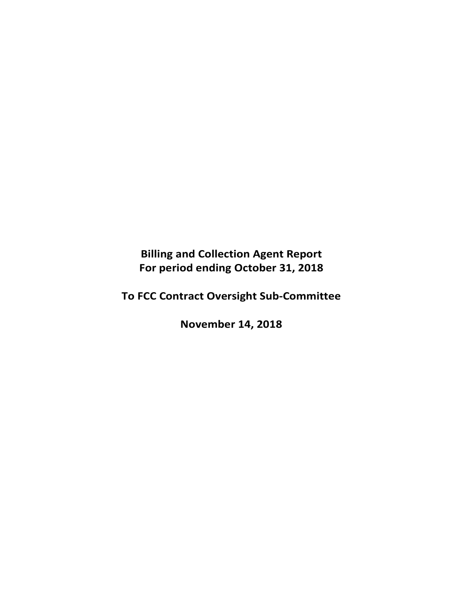**Billing and Collection Agent Report For period ending October 31, 2018** 

**To FCC Contract Oversight Sub‐Committee** 

**November 14, 2018**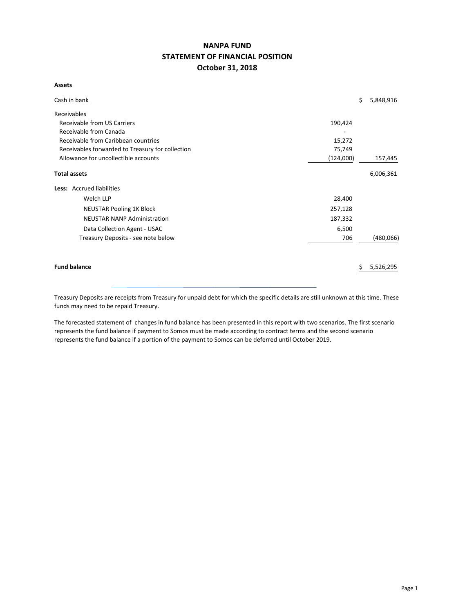# **NANPA FUND STATEMENT OF FINANCIAL POSITION October 31, 2018**

## **Assets**

| Cash in bank                                     |           | \$<br>5,848,916 |
|--------------------------------------------------|-----------|-----------------|
| Receivables                                      |           |                 |
| Receivable from US Carriers                      | 190,424   |                 |
| Receivable from Canada                           |           |                 |
| Receivable from Caribbean countries              | 15,272    |                 |
| Receivables forwarded to Treasury for collection | 75,749    |                 |
| Allowance for uncollectible accounts             | (124,000) | 157,445         |
| <b>Total assets</b>                              |           | 6,006,361       |
| <b>Less:</b> Accrued liabilities                 |           |                 |
| Welch LLP                                        | 28,400    |                 |
| <b>NEUSTAR Pooling 1K Block</b>                  | 257,128   |                 |
| <b>NEUSTAR NANP Administration</b>               | 187,332   |                 |
| Data Collection Agent - USAC                     | 6,500     |                 |
| Treasury Deposits - see note below               | 706       | (480,066)       |
|                                                  |           |                 |
| <b>Fund balance</b>                              |           | 5,526,295       |

Treasury Deposits are receipts from Treasury for unpaid debt for which the specific details are still unknown at this time. These funds may need to be repaid Treasury.

The forecasted statement of changes in fund balance has been presented in this report with two scenarios. The first scenario represents the fund balance if payment to Somos must be made according to contract terms and the second scenario represents the fund balance if a portion of the payment to Somos can be deferred until October 2019.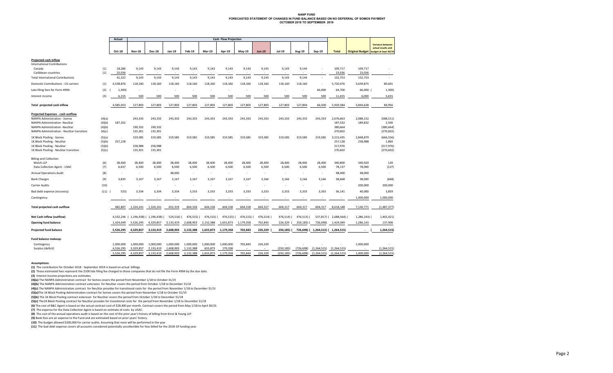### **NANP FUNDFORECASTED STATEMENT OF CHANGES IN FUND BALANCE BASED ON NO DEFERRAL OF SOMOS PAYMENT OCTOBER 2018 TO SEPTEMBER 2019**

|                                                                                                                                                                                                                          | Actual                 |                               |                               |                        | <b>Cash Flow Projection</b> |                          |                      |                   |                   |                 |                 |                         |                                            |                        |                                                 |
|--------------------------------------------------------------------------------------------------------------------------------------------------------------------------------------------------------------------------|------------------------|-------------------------------|-------------------------------|------------------------|-----------------------------|--------------------------|----------------------|-------------------|-------------------|-----------------|-----------------|-------------------------|--------------------------------------------|------------------------|-------------------------------------------------|
|                                                                                                                                                                                                                          |                        |                               |                               |                        |                             |                          |                      |                   |                   |                 |                 |                         |                                            |                        | Variance between<br>actual results and          |
|                                                                                                                                                                                                                          | Oct-18                 | <b>Nov-18</b>                 | <b>Dec-18</b>                 | Jan-19                 | Feb-19                      | <b>Mar-19</b>            | Apr-19               | May-19            | <b>Jun-19</b>     | Jul-19          | Aug-19          | Sep-19                  | <b>Total</b>                               | <b>Original Budget</b> | budget at Sept 30/19                            |
| Projected cash inflow<br><b>International Contributions</b><br>(1)<br>Canada                                                                                                                                             | 18,286                 | 9,143                         | 9,143                         | 9.143                  | 9,143                       | 9,143                    | 9,143                | 9,143             | 9,143             | 9,143           | 9,144           |                         | 109,717                                    | 109,717                |                                                 |
| (1)<br>Caribbean countries                                                                                                                                                                                               | 23,036                 | $\sim$                        | $\sim$                        | $\sim$                 | $\sim$                      | $\sim$                   | $\sim$               | $\sim$            | $\sim$            | $\sim$          | $\sim$          |                         | 23,036                                     | 23,036                 | $\sim$                                          |
| <b>Total International Contributions</b>                                                                                                                                                                                 | 41,322                 | 9,143                         | 9,143                         | 9,143                  | 9,143                       | 9,143                    | 9,143                | 9,143             | 9,143             | 9,143           | 9,144           |                         | 132,753                                    | 132,753                |                                                 |
| Domestic Contributions - US carriers<br>(1)                                                                                                                                                                              | 4,538,876              | 118,160                       | 118,160                       | 118,160                | 118,160                     | 118,160                  | 118,160              | 118,160           | 118,160           | 118,160         | 118,160         |                         | 5,720,476                                  | 5,639,875              | 80,601                                          |
| (2)<br>Late filing fees for Form 499A                                                                                                                                                                                    | 1,300)                 |                               |                               |                        |                             |                          |                      |                   |                   |                 |                 | 66,000                  | 64,700                                     | 66,000 (               | 1,300                                           |
| (3)<br>Interest income                                                                                                                                                                                                   | 6,155                  | 500                           | 500                           | 500                    | 500                         | 500                      | 500                  | 500               | 500               | 500             | 500             | 500                     | 11,655                                     | 6,000                  | 5,655                                           |
| Total projected cash inflow                                                                                                                                                                                              | 4,585,053              | 127,803                       | 127,803                       | 127,803                | 127,803                     | 127,803                  | 127,803              | 127,803           | 127,803           | 127,803         | 127,804         | 66,500                  | 5,929,584                                  | 5,844,628              | 84,956                                          |
| Projected Expenses - cash outflow<br>NANPA Administration - Somos<br>(4)(a)<br>(4)(b)<br>NANPA Administration -NeuStar<br>(4)(b)<br>NANPA Administration -NeuStar<br>NANPA Administration - NeuStar transition<br>(4)(c) | 187,332                | 243,333<br>190,332<br>135,301 | 243,333<br>190,332<br>135,301 | 243,333                | 243,333                     | 243,333                  | 243,333              | 243,333           | 243,333           | 243,333         | 243,333         | 243,333                 | 2,676,663<br>187,332<br>380,664<br>270,602 | 2,088,152<br>189,832   | (588, 511)<br>2,500<br>(380, 664)<br>(270, 602) |
| 1K Block Pooling - Somos<br>(5)(a)<br>1K Block Pooling - NeuStar<br>(5)(b)<br>(5)(b)<br>1K Block Pooling - NeuStar<br>1K Block Pooling - NeuStar transition<br>(5)(c)                                                    | ٠<br>257,128           | 319,585<br>258,988<br>135,301 | 319,585<br>258,988<br>135,301 | 319,585                | 319,585                     | 319,585                  | 319,585              | 319,585           | 319,585           | 319,585         | 319,585         | 319,585                 | 3,515,435<br>257,128<br>517,976<br>270,602 | 2,848,879<br>258,988   | (666, 556)<br>1,860<br>(517, 976)<br>(270, 602) |
| <b>Billing and Collection</b><br>(6)<br>Welch LLP<br>(7)<br>Data Collection Agent - USAC                                                                                                                                 | 28,400<br>6,637        | 28,400<br>6,500               | 28,400<br>6,500               | 28,400<br>6,500        | 28,400<br>6,500             | 28,400<br>6,500          | 28,400<br>6,500      | 28,400<br>6,500   | 28,400<br>6,500   | 28,400<br>6,500 | 28,400<br>6,500 | 28,400<br>6,500         | 340,800<br>78,137                          | 340,920<br>78,000      | 120<br>(137)                                    |
| (8)<br><b>Annual Operations Audit</b>                                                                                                                                                                                    | $\sim$                 | $\sim$                        | $\sim$                        | 48,000                 | $\sim$                      | $\sim$                   | $\sim$               | $\sim$            | $\sim$            |                 | $\sim$          | $\sim$                  | 48,000                                     | 48,000                 |                                                 |
| (9)<br><b>Bank Charges</b>                                                                                                                                                                                               | 3,835                  | 3,167                         | 3,167                         | 3,167                  | 3,167                       | 3,167                    | 3,167                | 3,167             | 3,166             | 3,166           | 3,166           | 3,166                   | 38,668                                     | 38,000                 | (668)                                           |
| (10)<br><b>Carrier Audits</b>                                                                                                                                                                                            | ٠                      | $\sim$                        | $\sim$                        | $\sim$                 | $\sim$                      | $\overline{\phantom{a}}$ | $\sim$               | $\sim$            | $\sim$            | $\sim$          | ÷,              | $\sim$                  | $\overline{\phantom{a}}$                   | 200,000                | 200,000                                         |
| Bad debt expense (recovery)<br>(11)                                                                                                                                                                                      | 525)                   | 3,334                         | 3,334                         | 3,334                  | 3,333                       | 3,333                    | 3,333                | 3,333             | 3,333             | 3,333           | 3,333           | 3,333                   | 36,141                                     | 40,000                 | 3,859                                           |
| Contingency                                                                                                                                                                                                              |                        |                               |                               |                        |                             |                          |                      | $\sim$            |                   |                 |                 |                         |                                            | 1,000,000              | 1,000,000                                       |
| Total projected cash outflow                                                                                                                                                                                             | 482,807                | 1,324,241                     | 1,324,241                     | 652,319                | 604,318                     | 604,318                  | 604,318              | 604,318           | 604,317           | 604,317         | 604,317         | 604,317                 | 8,618,148                                  | 7,130,771              | (1,487,377)                                     |
| Net Cash inflow (outflow)                                                                                                                                                                                                | 4,102,246              |                               | 1,196,438) (1,196,438)        | 524,516)               | 476,515)                    | 476,515) (               | 476,515)             | 476,515)          | 476,514) (        | 476,514)        | 476,513)        | 537,817) (              | 2,688,564) (                               | $1,286,143$ )          | 1,402,421)                                      |
| <b>Opening fund balance</b>                                                                                                                                                                                              | 1,424,049              | 5,526,295                     | 4,329,857                     | 3,133,419              | 2,608,903                   | 2,132,388                | 1,655,873            | 1,179,358         | 702,843           | 226,329         | 250,185)        | 726,698)                | 1,424,049                                  | 1,286,143              | 137,906                                         |
| <b>Projected fund balance</b>                                                                                                                                                                                            | 5,526,295              | 4,329,857                     | 3.133.419                     | 2.608.903              | 2,132,388                   | 1,655,873                | 1,179,358            | 702,843           | 226,329           | 250,185)        | 726,698)        | 1,264,515) ( 1,264,515) |                                            | $\sim$                 | 1,264,515)                                      |
| Fund balance makeup:                                                                                                                                                                                                     |                        |                               |                               |                        |                             |                          |                      |                   |                   |                 |                 |                         |                                            |                        |                                                 |
| Contingency<br>Surplus (deficit)                                                                                                                                                                                         | 1,000,000<br>4,526,295 | 1,000,000<br>3,329,857        | 1,000,000<br>2,133,419        | 1,000,000<br>1,608,903 | 1,000,000<br>1,132,388      | 1,000,000<br>655,873     | 1,000,000<br>179,358 | 702,843<br>$\sim$ | 226,329<br>$\sim$ | (250, 185)      | (726, 698)      | (1, 264, 515)           | (1, 264, 515)                              | 1,000,000              | (1, 264, 515)                                   |
|                                                                                                                                                                                                                          | 5,526,295              | 4,329,857                     | 3,133,419                     | 2,608,903              | 2,132,388                   | 1,655,873                | 1,179,358            | 702,843           | 226,329           | (250, 185)      | (726, 698)      | (1, 264, 515)           | (1, 264, 515)                              | 1,000,000              | (1, 264, 515)                                   |

**Assumptions:**

**(1)** The contribution for October 2018 ‐ September 2019 is based on actual billings.

**(2)** These estimated fees represent the \$100 late filing fee charged to those companies that do not file the Form 499A by the due date.

**(3)** Interest income projections are estimates

**(4)(a)** The NANPA Administration contract for Somos covers the period from November 1/18 to October 31/19 **(4)(b)** The NANPA Administration contract extension for NeuStar covers the period from October 1/18 to December 31/18

**(4)(c)** The NANPA Administration contract for NeuStar provides for transitional costs for the period from November 1/18 to December 31/18

**(5)(a)**The 1K Block Pooling Administration contract for Somos covers the period from November 1/18 to October 31/19

**(5)(b)** The 1K Block Pooling contract extension for NeuStar covers the period from October 1/18 to December 31/18

**(5)(c)** The1K Block Pooling contract for NeuStar provides for transitional costs for the period from November 1/18 to December 31/18

**(6)** The cost of B&C Agent is based on the actual contract cost of \$28,400 per month. Contract covers the period from May 1/18 to April 30/23

**(7)**  The expense for the Data Collection Agent is based on estimate of costs by USAC.

**(8)**  The cost of the annual operations audit is based on the cost of the prior year's history of billing from Ernst & Young LLP.

**(9)** Bank fees are an expense to the Fund and are estimated based on prior years' history.

**(10)** The budget allowed \$200,000 for carrier audits. Assuming that none will be performed in the year

**(11)**  The bad debt expense covers all accounts considered potentially uncollectible for fees billed for the 2018‐19 funding year.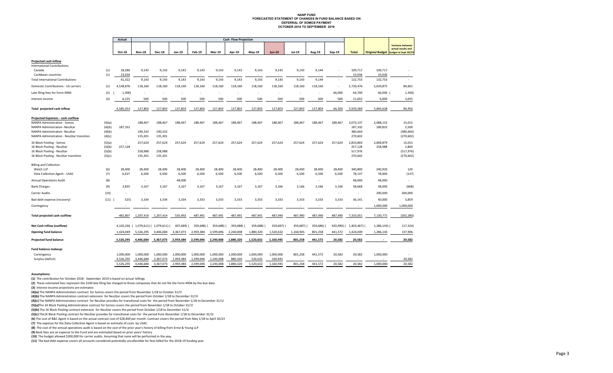#### **NANP FUND FORECASTED STATEMENT OF CHANGES IN FUND BALANCE BASED ON DEFERRAL OF SOMOS PAYMENTOCTOBER 2018 TO SEPTEMBER 2019**

|                                                                                                                                                                                  |                                      | Actual                   | Cash Flow Projection              |                                     |                                   |                          |                          |                 |                                   |                                   |                                   |                                   |                          |                                            |                          |                                                                       |
|----------------------------------------------------------------------------------------------------------------------------------------------------------------------------------|--------------------------------------|--------------------------|-----------------------------------|-------------------------------------|-----------------------------------|--------------------------|--------------------------|-----------------|-----------------------------------|-----------------------------------|-----------------------------------|-----------------------------------|--------------------------|--------------------------------------------|--------------------------|-----------------------------------------------------------------------|
|                                                                                                                                                                                  |                                      | Oct-18                   | <b>Nov-18</b>                     | <b>Dec-18</b>                       | Jan-19                            | <b>Feb-19</b>            | <b>Mar-19</b>            | Apr-19          | <b>May-19</b>                     | <b>Jun-19</b>                     | Jul-19                            | Aug-19                            | Sep-19                   | <b>Total</b>                               | <b>Original Budget</b>   | <b>Variance between</b><br>actual results and<br>budget at Sept 30/19 |
| <b>Projected cash inflow</b><br><b>International Contributions</b>                                                                                                               |                                      |                          |                                   |                                     |                                   |                          |                          |                 |                                   |                                   |                                   |                                   |                          |                                            |                          |                                                                       |
| Canada<br>Caribbean countries                                                                                                                                                    | (1)<br>(1)                           | 18,286<br>23,036         | 9,143<br>$\overline{\phantom{a}}$ | 9,143<br>٠                          | 9,143<br>$\overline{\phantom{a}}$ | 9,143<br>٠               | 9,143                    | 9,143<br>$\sim$ | 9,143<br>$\overline{\phantom{a}}$ | 9,143<br>$\overline{\phantom{a}}$ | 9,143<br>$\overline{\phantom{a}}$ | 9,144<br>$\overline{\phantom{a}}$ |                          | 109,717<br>23,036                          | 109,717<br>23,036        |                                                                       |
| <b>Total International Contributions</b>                                                                                                                                         |                                      | 41,322                   | 9,143                             | 9,143                               | 9,143                             | 9,143                    | 9,143                    | 9,143           | 9,143                             | 9,143                             | 9,143                             | 9,144                             | $\overline{\phantom{a}}$ | 132,753                                    | 132,753                  |                                                                       |
| Domestic Contributions - US carriers                                                                                                                                             | (1)                                  | 4,538,876                | 118,160                           | 118,160                             | 118,160                           | 118,160                  | 118,160                  | 118,160         | 118,160                           | 118,160                           | 118,160                           | 118,160                           | $\overline{\phantom{a}}$ | 5,720,476                                  | 5,639,875                | 80,601                                                                |
| Late filing fees for Form 499A                                                                                                                                                   | (2)                                  | 1,300)                   |                                   |                                     |                                   |                          |                          |                 |                                   |                                   |                                   |                                   | 66,000                   | 64,700                                     | 66,000 (                 | 1,300)                                                                |
| Interest income                                                                                                                                                                  | (3)                                  | 6,155                    | 500                               | 500                                 | 500                               | 500                      | 500                      | 500             | 500                               | 500                               | 500                               | 500                               | 500                      | 11,655                                     | 6,000                    | 5,655                                                                 |
| Total projected cash inflow                                                                                                                                                      |                                      | 4,585,053                | 127,803                           | 127,803                             | 127,803                           | 127,803                  | 127,803                  | 127,803         | 127,803                           | 127,803                           | 127,803                           | 127,804                           | 66,500                   | 5,929,584                                  | 5,844,628                | 84,956                                                                |
| Projected Expenses - cash outflow<br>NANPA Administration - Somos<br>NANPA Administration -NeuStar<br>NANPA Administration -NeuStar<br>NANPA Administration - NeuStar transition | (4)(a)<br>(4)(b)<br>(4)(b)<br>(4)(c) | 187,332                  | 188,467<br>190,332<br>135,301     | 188,467<br>190,332<br>135,301       | 188,467                           | 188,467                  | 188,467                  | 188,467         | 188,467                           | 188,467                           | 188,467                           | 188,467                           | 188,467                  | 2,073,137<br>187,332<br>380,664<br>270,602 | 2,088,152<br>189,832     | 15,015<br>2,500<br>(380, 664)<br>(270, 602)                           |
| 1K Block Pooling - Somos<br>1K Block Pooling - NeuStar<br>1K Block Pooling - NeuStar<br>1K Block Pooling - NeuStar transition                                                    | (5)(a)<br>(5)(b)<br>(5)(b)<br>(5)(c) | 257,128                  | 257,624<br>258,988<br>135,301     | 257,624<br>258,988<br>135,301       | 257,624                           | 257,624                  | 257,624                  | 257,624         | 257,624                           | 257,624                           | 257,624                           | 257,624                           | 257,624                  | 2,833,864<br>257,128<br>517,976<br>270,602 | 2,848,879<br>258,988     | 15,015<br>1,860<br>(517, 976)<br>(270, 602)                           |
| <b>Billing and Collection</b><br>Welch LLP<br>Data Collection Agent - USAC                                                                                                       | (6)<br>(7)                           | 28,400<br>6,637          | 28,400<br>6,500                   | 28,400<br>6,500                     | 28,400<br>6,500                   | 28,400<br>6,500          | 28,400<br>6,500          | 28,400<br>6,500 | 28,400<br>6,500                   | 28,400<br>6,500                   | 28,400<br>6,500                   | 28,400<br>6,500                   | 28,400<br>6,500          | 340,800<br>78,137                          | 340,920<br>78,000        | 120<br>(137)                                                          |
| <b>Annual Operations Audit</b>                                                                                                                                                   | (8)                                  | $\overline{\phantom{a}}$ | $\overline{\phantom{a}}$          | $\overline{\phantom{a}}$            | 48,000                            | $\overline{\phantom{a}}$ | $\overline{\phantom{a}}$ | $\sim$          | $\sim$                            | $\overline{\phantom{a}}$          | $\overline{\phantom{a}}$          | $\overline{\phantom{a}}$          | $\overline{\phantom{a}}$ | 48,000                                     | 48,000                   | ٠                                                                     |
| <b>Bank Charges</b>                                                                                                                                                              | (9)                                  | 3,835                    | 3,167                             | 3,167                               | 3,167                             | 3,167                    | 3,167                    | 3,167           | 3,167                             | 3,166                             | 3,166                             | 3,166                             | 3,166                    | 38,668                                     | 38,000                   | (668)                                                                 |
| <b>Carrier Audits</b>                                                                                                                                                            | (10)                                 | $\overline{a}$           | $\overline{\phantom{a}}$          | ٠                                   | $\overline{\phantom{a}}$          | ٠                        | ٠                        | $\sim$          | $\overline{\phantom{a}}$          | $\overline{\phantom{a}}$          | ×,                                | $\overline{\phantom{a}}$          | $\sim$                   | $\overline{\phantom{a}}$                   | 200,000                  | 200,000                                                               |
| Bad debt expense (recovery)                                                                                                                                                      | (11)                                 | 525)                     | 3,334                             | 3,334                               | 3,334                             | 3,333                    | 3,333                    | 3,333           | 3,333                             | 3,333                             | 3,333                             | 3,333                             | 3,333                    | 36,141                                     | 40,000                   | 3,859                                                                 |
| Contingency                                                                                                                                                                      |                                      | $\overline{\phantom{a}}$ | $\overline{\phantom{a}}$          | ٠                                   |                                   | ٠                        | $\overline{\phantom{a}}$ | $\sim$          | $\overline{\phantom{a}}$          | $\overline{\phantom{a}}$          | $\overline{\phantom{a}}$          | $\overline{\phantom{a}}$          |                          | $\overline{\phantom{a}}$                   | 1,000,000                | 1,000,000                                                             |
| Total projected cash outflow                                                                                                                                                     |                                      | 482,807                  | 1,207,414                         | 1,207,414                           | 535,492                           | 487,491                  | 487,491                  | 487,491         | 487,491                           | 487,490                           | 487,490                           | 487,490                           | 487,490                  | 7,333,051                                  | 7,130,771                | (202, 280)                                                            |
| Net Cash inflow (outflow)                                                                                                                                                        |                                      |                          |                                   | 4,102,246 (1,079,611) (1,079,611) ( | 407,689)                          | 359,688)                 | 359,688)                 | 359,688)        | 359,688)                          | 359,687)                          | 359,687) (                        | 359,686)                          | 420,990) (               | 1,403,467) (                               | 1,286,143) (             | 117,324)                                                              |
| <b>Opening fund balance</b>                                                                                                                                                      |                                      | 1,424,049                | 5,526,295                         | 4,446,684                           | 3,367,073                         | 2,959,384                | 2,599,696                | 2,240,008       | 1,880,320                         | 1,520,632                         | 1,160,945                         | 801,258                           | 441,572                  | 1,424,049                                  | 1,286,143                | 137,906                                                               |
| <b>Projected fund balance</b>                                                                                                                                                    |                                      | 5,526,295                | 4,446,684                         | 3,367,073                           | 2,959,384                         | 2,599,696                | 2,240,008                | 1,880,320       | 1,520,632                         | 1,160,945                         | 801,258                           | 441,572                           | 20,582                   | 20,582                                     | $\overline{\phantom{a}}$ | 20,582                                                                |
| Fund balance makeup:<br>Contingency                                                                                                                                              |                                      | 1,000,000                | 1,000,000                         | 1,000,000                           | 1,000,000                         | 1,000,000                | 1,000,000                | 1,000,000       | 1,000,000                         | 1,000,000                         | 801,258                           | 441,572                           | 20,582                   | 20,582                                     | 1,000,000                |                                                                       |
| Surplus (deficit)                                                                                                                                                                |                                      | 4,526,295                | 3,446,684                         | 2,367,073                           | 1,959,384                         | 1,599,696                | 1,240,008                | 880,320         | 520,632                           | 160,945                           | J.                                |                                   |                          | $\sim$                                     |                          | 20,582                                                                |
|                                                                                                                                                                                  |                                      | 5,526,295                | 4,446,684                         | 3,367,073                           | 2,959,384                         | 2,599,696                | 2,240,008                | 1,880,320       | 1,520,632                         | 1,160,945                         | 801,258                           | 441,572                           | 20,582                   | 20,582                                     | 1,000,000                | 20,582                                                                |

#### **Assumptions:**

**(1)** The contribution for October 2018 ‐ September 2019 is based on actual billings

**(2)** These estimated fees represent the \$100 late filing fee charged to those companies that do not file the Form 499A by the due date.

**(3)** Interest income projections are estimates

**(4)(a)** The NANPA Administration contract for Somos covers the period from November 1/18 to October 31/19

**(4)(b)** The NANPA Administration contract extension for NeuStar covers the period from October 1/18 to December 31/18

**(4)(c)** The NANPA Administration contract for NeuStar provides for transitional costs for the period from November 1/18 to December 31/18

**(5)(a)**The 1K Block Pooling Administration contract for Somos covers the period from November 1/18 to October 31/19

**(5)(b)** The 1K Block Pooling contract extension for NeuStar covers the period from October 1/18 to December 31/18

**(5)(c)** The1K Block Pooling contract for NeuStar provides for transitional costs for the period from November 1/18 to December 31/18

**(6)** The cost of B&C Agent is based on the actual contract cost of \$28,400 per month. Contract covers the period from May 1/18 to April 30/23

**(7)**  The expense for the Data Collection Agent is based on estimate of costs by USAC.

**(8)**  The cost of the annual operations audit is based on the cost of the prior year's history of billing from Ernst & Young LLP

**(9)** Bank fees are an expense to the Fund and are estimated based on prior years' history

**(10)** The budget allowed \$200,000 for carrier audits. Assuming that none will be performed in the year

**(11)**  The bad debt expense covers all accounts considered potentially uncollectible for fees billed for the 2018‐19 funding year.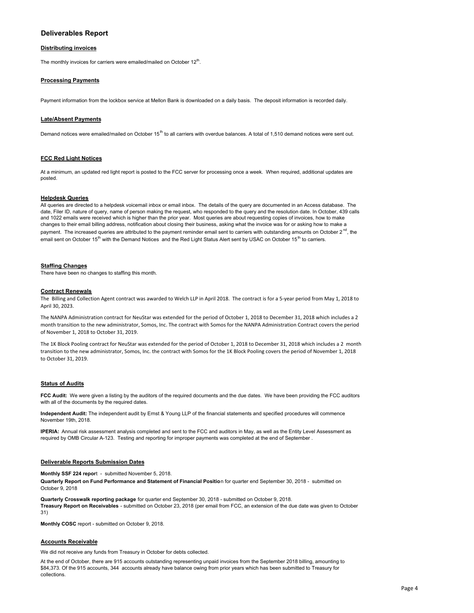# **Deliverables Report**

### **Distributing invoices**

The monthly invoices for carriers were emailed/mailed on October 12<sup>th</sup>.

### **Processing Payments**

Payment information from the lockbox service at Mellon Bank is downloaded on a daily basis. The deposit information is recorded daily.

#### **Late/Absent Payments**

Demand notices were emailed/mailed on October  $15<sup>th</sup>$  to all carriers with overdue balances. A total of 1,510 demand notices were sent out.

### **FCC Red Light Notices**

At a minimum, an updated red light report is posted to the FCC server for processing once a week. When required, additional updates are posted.

#### **Helpdesk Queries**

All queries are directed to a helpdesk voicemail inbox or email inbox. The details of the query are documented in an Access database. The date, Filer ID, nature of query, name of person making the request, who responded to the query and the resolution date. In October, 439 calls and 1022 emails were received which is higher than the prior year. Most queries are about requesting copies of invoices, how to make changes to their email billing address, notification about closing their business, asking what the invoice was for or asking how to make a payment. The increased queries are attributed to the payment reminder email sent to carriers with outstanding amounts on October 2<sup>nd</sup>, the email sent on October 15<sup>th</sup> with the Demand Notices and the Red Light Status Alert sent by USAC on October 15<sup>th</sup> to carriers.

#### **Staffing Changes**

There have been no changes to staffing this month.

#### **Contract Renewals**

The Billing and Collection Agent contract was awarded to Welch LLP in April 2018. The contract is for a 5‐year period from May 1, 2018 to April 30, 2023.

The NANPA Administration contract for NeuStar was extended for the period of October 1, 2018 to December 31, 2018 which includes a 2 month transition to the new administrator, Somos, Inc. The contract with Somos for the NANPA Administration Contract covers the period of November 1, 2018 to October 31, 2019.

The 1K Block Pooling contract for NeuStar was extended for the period of October 1, 2018 to December 31, 2018 which includes a 2 month transition to the new administrator, Somos, Inc. the contract with Somos for the 1K Block Pooling covers the period of November 1, 2018 to October 31, 2019.

#### **Status of Audits**

**FCC Audit:** We were given a listing by the auditors of the required documents and the due dates. We have been providing the FCC auditors with all of the documents by the required dates.

**Independent Audit:** The independent audit by Ernst & Young LLP of the financial statements and specified procedures will commence November 19th, 2018.

**IPERIA:** Annual risk assessment analysis completed and sent to the FCC and auditors in May, as well as the Entity Level Assessment as required by OMB Circular A-123. Testing and reporting for improper payments was completed at the end of September .

### **Deliverable Reports Submission Dates**

**Monthly SSF 224 repor**t - submitted November 5, 2018.

**Quarterly Report on Fund Performance and Statement of Financial Positio**n for quarter end September 30, 2018 - submitted on October 9, 2018

**Quarterly Crosswalk reporting package** for quarter end September 30, 2018 - submitted on October 9, 2018. **Treasury Report on Receivables** - submitted on October 23, 2018 (per email from FCC, an extension of the due date was given to October 31)

**Monthly COSC** report - submitted on October 9, 2018.

### **Accounts Receivable**

We did not receive any funds from Treasury in October for debts collected.

At the end of October, there are 915 accounts outstanding representing unpaid invoices from the September 2018 billing, amounting to \$84,373. Of the 915 accounts, 344 accounts already have balance owing from prior years which has been submitted to Treasury for collections.